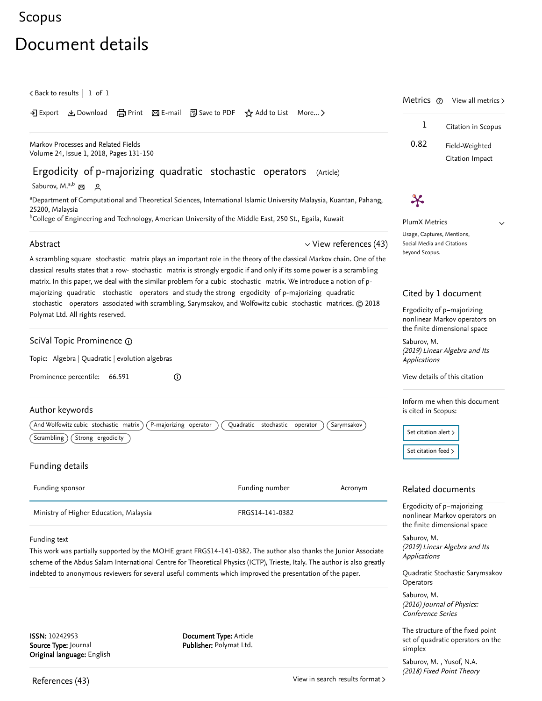## <span id="page-0-2"></span>[Scopus](https://www.scopus.com/home.uri?zone=header&origin=searchbasic)

# Document details

<span id="page-0-1"></span>

| $\zeta$ Back to results   1 of 1                                                                                                                                                                                                                                                                                                                                        |                                                                                                           |            |                                                                                             | Metrics $\odot$<br>View all metrics $>$                                                     |  |
|-------------------------------------------------------------------------------------------------------------------------------------------------------------------------------------------------------------------------------------------------------------------------------------------------------------------------------------------------------------------------|-----------------------------------------------------------------------------------------------------------|------------|---------------------------------------------------------------------------------------------|---------------------------------------------------------------------------------------------|--|
| $\overline{2}$ Export                                                                                                                                                                                                                                                                                                                                                   | とDownload (日Print ⊠ E-mail 可 Save to PDF ☆ Add to List More >                                             |            | 1                                                                                           | Citation in Scopus                                                                          |  |
| Markov Processes and Related Fields<br>Volume 24, Issue 1, 2018, Pages 131-150                                                                                                                                                                                                                                                                                          |                                                                                                           |            | 0.82                                                                                        | Field-Weighted<br>Citation Impact                                                           |  |
| Ergodicity of p-majorizing quadratic stochastic operators                                                                                                                                                                                                                                                                                                               | (Article)                                                                                                 |            |                                                                                             |                                                                                             |  |
| Saburov, M. <sup>a,b</sup> 접 있                                                                                                                                                                                                                                                                                                                                          |                                                                                                           |            |                                                                                             |                                                                                             |  |
| aDepartment of Computational and Theoretical Sciences, International Islamic University Malaysia, Kuantan, Pahang,<br>25200, Malaysia                                                                                                                                                                                                                                   |                                                                                                           |            | $\boldsymbol{\varkappa}$                                                                    |                                                                                             |  |
| <sup>b</sup> College of Engineering and Technology, American University of the Middle East, 250 St., Egaila, Kuwait                                                                                                                                                                                                                                                     |                                                                                                           |            | <b>PlumX Metrics</b>                                                                        | $\checkmark$                                                                                |  |
| $\vee$ View references (43)<br>Abstract                                                                                                                                                                                                                                                                                                                                 |                                                                                                           |            | Usage, Captures, Mentions,<br>Social Media and Citations<br>beyond Scopus.                  |                                                                                             |  |
| A scrambling square stochastic matrix plays an important role in the theory of the classical Markov chain. One of the<br>classical results states that a row- stochastic matrix is strongly ergodic if and only if its some power is a scrambling<br>matrix. In this paper, we deal with the similar problem for a cubic stochastic matrix. We introduce a notion of p- |                                                                                                           |            |                                                                                             |                                                                                             |  |
| majorizing quadratic stochastic operators and study the strong ergodicity of p-majorizing quadratic                                                                                                                                                                                                                                                                     |                                                                                                           |            |                                                                                             | Cited by 1 document                                                                         |  |
| stochastic operators associated with scrambling, Sarymsakov, and Wolfowitz cubic stochastic matrices. © 2018<br>Polymat Ltd. All rights reserved.                                                                                                                                                                                                                       |                                                                                                           |            | Ergodicity of p-majorizing<br>nonlinear Markov operators on<br>the finite dimensional space |                                                                                             |  |
| SciVal Topic Prominence 1                                                                                                                                                                                                                                                                                                                                               |                                                                                                           |            | Saburov, M.                                                                                 |                                                                                             |  |
| Topic: Algebra   Quadratic   evolution algebras                                                                                                                                                                                                                                                                                                                         |                                                                                                           |            | Applications                                                                                | (2019) Linear Algebra and Its                                                               |  |
| Prominence percentile: 66.591<br>⊙                                                                                                                                                                                                                                                                                                                                      |                                                                                                           |            |                                                                                             | View details of this citation                                                               |  |
| Author keywords                                                                                                                                                                                                                                                                                                                                                         |                                                                                                           |            | is cited in Scopus:                                                                         | Inform me when this document                                                                |  |
| And Wolfowitz cubic stochastic matrix<br>P-majorizing operator                                                                                                                                                                                                                                                                                                          | Quadratic stochastic operator                                                                             | Sarymsakov |                                                                                             |                                                                                             |  |
| Scrambling<br>Strong ergodicity                                                                                                                                                                                                                                                                                                                                         |                                                                                                           |            | Set citation alert ><br>Set citation feed >                                                 |                                                                                             |  |
| Funding details                                                                                                                                                                                                                                                                                                                                                         |                                                                                                           |            |                                                                                             |                                                                                             |  |
| Funding sponsor                                                                                                                                                                                                                                                                                                                                                         | Funding number                                                                                            | Acronym    |                                                                                             | Related documents                                                                           |  |
| Ministry of Higher Education, Malaysia                                                                                                                                                                                                                                                                                                                                  | FRGS14-141-0382                                                                                           |            |                                                                                             | Ergodicity of p-majorizing<br>nonlinear Markov operators on<br>the finite dimensional space |  |
| Funding text                                                                                                                                                                                                                                                                                                                                                            |                                                                                                           |            | Saburov, M.                                                                                 |                                                                                             |  |
| This work was partially supported by the MOHE grant FRGS14-141-0382. The author also thanks the Junior Associate<br>scheme of the Abdus Salam International Centre for Theoretical Physics (ICTP), Trieste, Italy. The author is also greatly                                                                                                                           |                                                                                                           |            | Applications                                                                                | (2019) Linear Algebra and Its                                                               |  |
|                                                                                                                                                                                                                                                                                                                                                                         | indebted to anonymous reviewers for several useful comments which improved the presentation of the paper. |            | Operators                                                                                   | Quadratic Stochastic Sarymsakov                                                             |  |
|                                                                                                                                                                                                                                                                                                                                                                         |                                                                                                           |            | Saburov, M.<br><b>Conference Series</b>                                                     | (2016) Journal of Physics:                                                                  |  |
|                                                                                                                                                                                                                                                                                                                                                                         |                                                                                                           |            |                                                                                             | The structure of the fixed point                                                            |  |

<span id="page-0-0"></span>ISSN: 10242953 Source Type: Journal Original language: English Document Type: Article Publisher: Polymat Ltd.

> , [Saburov, M.](https://www.scopus.com/authid/detail.uri?origin=recordpage&authorId=36348676700&zone=relatedDocuments) [Yusof, N.A.](https://www.scopus.com/authid/detail.uri?origin=recordpage&authorId=57189007047&zone=relatedDocuments)(2018) Fixed Point Theory

simplex

[set of quadratic operators on the](https://www.scopus.com/record/display.uri?origin=recordpage&zone=relatedDocuments&eid=2-s2.0-85048743217&citeCnt=1&noHighlight=false&sort=plf-f&src=s&st1=Ergodicity+of+p-majorizing+quadratic+stochastic+operators&st2=&sid=f518dd7a888cff4e3863a3fbd40d2d87&sot=b&sdt=b&sl=72&s=TITLE-ABS-KEY%28Ergodicity+of+p-majorizing+quadratic+stochastic+operators%29&relpos=2)

[View in search results format](https://www.scopus.com/search/submit/references.uri?sort=plf-f&src=r&imp=t&sid=3af59de515ad871cddfbc2edce2169f3&sot=rec&sdt=citedreferences&sl=23&s=EID%282-s2.0-85048604816%29&origin=recordpage&citeCnt=1&citingId=2-s2.0-85048604816) >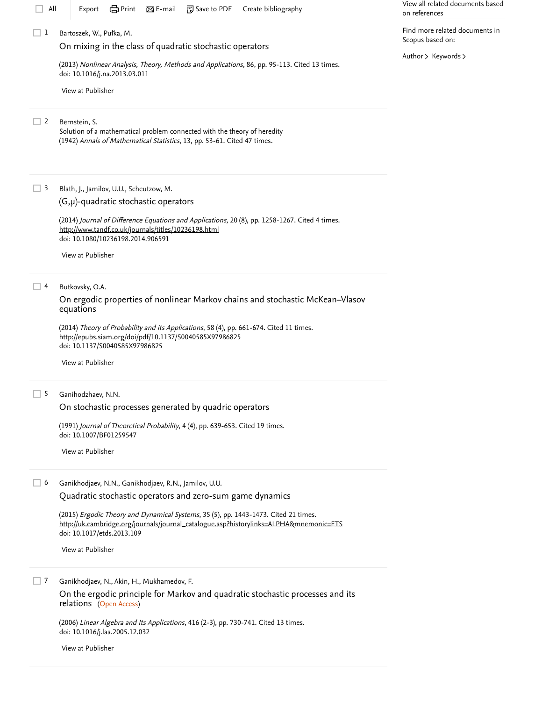| All               | em Print<br>問 Save to PDF<br>Create bibliography<br>$\boxtimes$ E-mail<br>Export                                                                                                                            | View all related documents based<br>on references  |
|-------------------|-------------------------------------------------------------------------------------------------------------------------------------------------------------------------------------------------------------|----------------------------------------------------|
| $\vert$ $\vert$ 1 | Bartoszek, W., Pułka, M.                                                                                                                                                                                    | Find more related documents in<br>Scopus based on: |
|                   | On mixing in the class of quadratic stochastic operators                                                                                                                                                    | Author > Keywords >                                |
|                   | (2013) Nonlinear Analysis, Theory, Methods and Applications, 86, pp. 95-113. Cited 13 times.<br>doi: 10.1016/j.na.2013.03.011                                                                               |                                                    |
|                   | View at Publisher                                                                                                                                                                                           |                                                    |
| 2                 | Bernstein, S.<br>Solution of a mathematical problem connected with the theory of heredity<br>(1942) Annals of Mathematical Statistics, 13, pp. 53-61. Cited 47 times.                                       |                                                    |
| ш<br>3            | Blath, J., Jamilov, U.U., Scheutzow, M.<br>$(G,\mu)$ -quadratic stochastic operators                                                                                                                        |                                                    |
|                   | (2014) Journal of Difference Equations and Applications, 20 (8), pp. 1258-1267. Cited 4 times.<br>http://www.tandf.co.uk/journals/titles/10236198.html<br>doi: 10.1080/10236198.2014.906591                 |                                                    |
|                   | View at Publisher                                                                                                                                                                                           |                                                    |
| 4<br>ш            | Butkovsky, O.A.                                                                                                                                                                                             |                                                    |
|                   | On ergodic properties of nonlinear Markov chains and stochastic McKean-Vlasov<br>equations                                                                                                                  |                                                    |
|                   | (2014) Theory of Probability and its Applications, 58 (4), pp. 661-674. Cited 11 times.<br>http://epubs.siam.org/doi/pdf/10.1137/S0040585X97986825<br>doi: 10.1137/S0040585X97986825                        |                                                    |
|                   | View at Publisher                                                                                                                                                                                           |                                                    |
| -5<br>H           | Ganihodzhaev, N.N.                                                                                                                                                                                          |                                                    |
|                   | On stochastic processes generated by quadric operators                                                                                                                                                      |                                                    |
|                   | (1991) Journal of Theoretical Probability, 4 (4), pp. 639-653. Cited 19 times.<br>doi: 10.1007/BF01259547                                                                                                   |                                                    |
|                   | View at Publisher                                                                                                                                                                                           |                                                    |
| 6<br>H            | Ganikhodjaev, N.N., Ganikhodjaev, R.N., Jamilov, U.U.                                                                                                                                                       |                                                    |
|                   | Quadratic stochastic operators and zero-sum game dynamics                                                                                                                                                   |                                                    |
|                   | (2015) Ergodic Theory and Dynamical Systems, 35 (5), pp. 1443-1473. Cited 21 times.<br>http://uk.cambridge.org/journals/journal_catalogue.asp?historylinks=ALPHA&mnemonic=ETS<br>doi: 10.1017/etds.2013.109 |                                                    |
|                   | View at Publisher                                                                                                                                                                                           |                                                    |
| 7                 | Ganikhodjaev, N., Akin, H., Mukhamedov, F.<br>On the ergodic principle for Markov and quadratic stochastic processes and its<br>relations (Open Access)                                                     |                                                    |

(2006) *Linear Algebra and Its Applications*, 416 (2-3), pp. 730-741. Cited 13 times. doi: 10.1016/j.laa.2005.12.032 [Cited 13 times](https://www.scopus.com/search/submit/citedby.uri?eid=2-s2.0-85048604816&refeid=2-s2.0-33646937773&src=s&origin=reflist&refstat=core)

[View at Publisher](https://www.scopus.com/redirect/linking.uri?targetURL=https%3a%2f%2fdoi.org%2f10.1016%2fj.laa.2005.12.032&locationID=3&categoryID=4&eid=2-s2.0-33646937773&issn=00243795&linkType=ViewAtPublisher&year=2006&origin=reflist&dig=8a83760dbf5d1504014916dd1d5ea65a&recordRank=)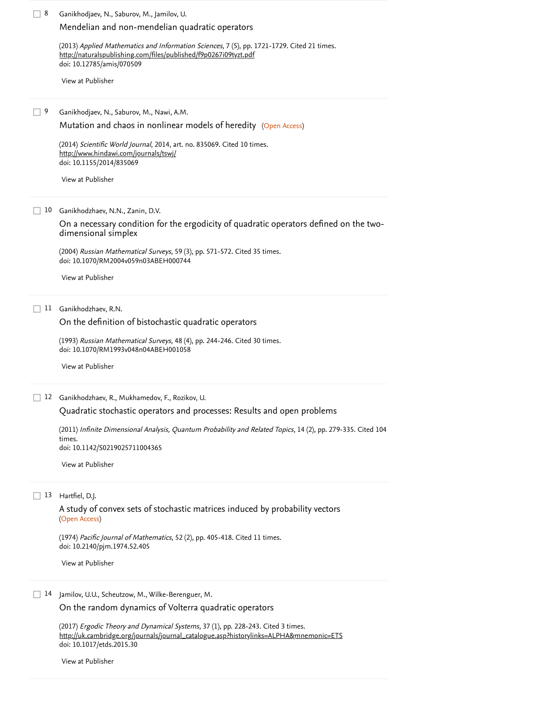Ganikhodjaev, N., Saburov, M., Jamilov, U. 8 (2013) *Applied Mathematics and Information Sciences*, 7 (5), pp. 1721-1729. [Cited 21 times](https://www.scopus.com/search/submit/citedby.uri?eid=2-s2.0-85048604816&refeid=2-s2.0-84883029982&src=s&origin=reflist&refstat=core). doi: 10.12785/amis/070509 Ganikhodjaev, N., Saburov, M., Nawi, A.M. [Mutation and chaos in nonlinear models of heredity](https://www.scopus.com/record/display.uri?eid=2-s2.0-84928205976&origin=reflist&sort=plf-f&src=s&st1=Ergodicity+of+p-majorizing+quadratic+stochastic+operators&st2=&sid=f518dd7a888cff4e3863a3fbd40d2d87&sot=b&sdt=b&sl=72&s=TITLE-ABS-KEY%28Ergodicity+of+p-majorizing+quadratic+stochastic+operators%29&recordRank=) (Open Access) (2014) *Scientific World Journal*, 2014, art. no. 835069. [Cited 10 times](https://www.scopus.com/search/submit/citedby.uri?eid=2-s2.0-85048604816&refeid=2-s2.0-84928205976&src=s&origin=reflist&refstat=core). doi: 10.1155/2014/835069 Ganikhodzhaev, N.N., Zanin, D.V. 10 (2004) *Russian Mathematical Surveys*, 59 (3), pp. 571-572. [Cited 35 times](https://www.scopus.com/search/submit/citedby.uri?eid=2-s2.0-85048604816&refeid=2-s2.0-8644268163&src=s&origin=reflist&refstat=core).<br>doi: 10.1070/RM2004v059n03ABEH000744<br>[View at Publisher](https://www.scopus.com/redirect/linking.uri?targetURL=https%3a%2f%2fdoi.org%2f10.1070%2fRM2004v059n03ABEH000744&locationID=3&categoryID=4&eid=2-s2.0-8644268163&issn=00360279&linkType=ViewAtPublisher&year=2004&origin=reflist&dig=ff172e94f4842b210ebaf8ccf64ad768&recordRank=) doi: 10.1070/RM2004v059n03ABEH000744 Ganikhodzhaev, R.N. 11 (1993) *Russian Mathematical Surveys*, 48 (4), pp. 244-246. [Cited 30 times](https://www.scopus.com/search/submit/citedby.uri?eid=2-s2.0-85048604816&refeid=2-s2.0-65349181768&src=s&origin=reflist&refstat=core).<br>doi: 10.1070/RM1993v048n04ABEH001058<br>[View at Publisher](https://www.scopus.com/redirect/linking.uri?targetURL=https%3a%2f%2fdoi.org%2f10.1070%2fRM1993v048n04ABEH001058&locationID=3&categoryID=4&eid=2-s2.0-65349181768&issn=00360279&linkType=ViewAtPublisher&year=1993&origin=reflist&dig=789f94a6423b72e8f70d843e792747ab&recordRank=) doi: 10.1070/RM1993v048n04ABEH001058 Ganikhodzhaev, R., Mukhamedov, F., Rozikov, U. 12 [Mendelian and non-mendelian quadratic operators](https://www.scopus.com/record/display.uri?eid=2-s2.0-84883029982&origin=reflist&sort=plf-f&src=s&st1=Ergodicity+of+p-majorizing+quadratic+stochastic+operators&st2=&sid=f518dd7a888cff4e3863a3fbd40d2d87&sot=b&sdt=b&sl=72&s=TITLE-ABS-KEY%28Ergodicity+of+p-majorizing+quadratic+stochastic+operators%29&recordRank=) <http://naturalspublishing.com/files/published/f9p0267i09tyzt.pdf> [View at Publisher](https://www.scopus.com/redirect/linking.uri?targetURL=https%3a%2f%2fdoi.org%2f10.12785%2famis%2f070509&locationID=3&categoryID=4&eid=2-s2.0-84883029982&issn=19350090&linkType=ViewAtPublisher&year=2013&origin=reflist&dig=6c1583fbfcb1cd2f8fdb5233762bf763&recordRank=)  $\Box$  9 <http://www.hindawi.com/journals/tswj/> [View at Publisher](https://www.scopus.com/redirect/linking.uri?targetURL=https%3a%2f%2fdoi.org%2f10.1155%2f2014%2f835069&locationID=3&categoryID=4&eid=2-s2.0-84928205976&issn=1537744X&linkType=ViewAtPublisher&year=2014&origin=reflist&dig=e76d740ea157fc535cc80965473b188f&recordRank=) [On a necessary condition for the ergodicity of quadratic operators defined on the two](https://www.scopus.com/record/display.uri?eid=2-s2.0-8644268163&origin=reflist&sort=plf-f&src=s&st1=Ergodicity+of+p-majorizing+quadratic+stochastic+operators&st2=&sid=f518dd7a888cff4e3863a3fbd40d2d87&sot=b&sdt=b&sl=72&s=TITLE-ABS-KEY%28Ergodicity+of+p-majorizing+quadratic+stochastic+operators%29&recordRank=)dimensional simplex [On the definition of bistochastic quadratic operators](https://www.scopus.com/record/display.uri?eid=2-s2.0-65349181768&origin=reflist&sort=plf-f&src=s&st1=Ergodicity+of+p-majorizing+quadratic+stochastic+operators&st2=&sid=f518dd7a888cff4e3863a3fbd40d2d87&sot=b&sdt=b&sl=72&s=TITLE-ABS-KEY%28Ergodicity+of+p-majorizing+quadratic+stochastic+operators%29&recordRank=) [Quadratic stochastic operators and processes: Results and open problems](https://www.scopus.com/record/display.uri?eid=2-s2.0-79959767477&origin=reflist&sort=plf-f&src=s&st1=Ergodicity+of+p-majorizing+quadratic+stochastic+operators&st2=&sid=f518dd7a888cff4e3863a3fbd40d2d87&sot=b&sdt=b&sl=72&s=TITLE-ABS-KEY%28Ergodicity+of+p-majorizing+quadratic+stochastic+operators%29&recordRank=)

(2011) [Infinite Dimensional Analysis, Quantum Probability and Related Topics](https://www.scopus.com/search/submit/citedby.uri?eid=2-s2.0-85048604816&refeid=2-s2.0-79959767477&src=s&origin=reflist&refstat=core), 14 (2), pp. 279-335. Cited 104 . times doi: 10.1142/S0219025711004365

[View at Publisher](https://www.scopus.com/redirect/linking.uri?targetURL=https%3a%2f%2fdoi.org%2f10.1142%2fS0219025711004365&locationID=3&categoryID=4&eid=2-s2.0-79959767477&issn=02190257&linkType=ViewAtPublisher&year=2011&origin=reflist&dig=3a9cd4b90cd573eca78e2986ff63b1bd&recordRank=)

### Hartfiel, D.J. 13

(Open Access) [A study of convex sets of stochastic matrices induced by probability vectors](https://www.scopus.com/record/display.uri?eid=2-s2.0-84972566532&origin=reflist&sort=plf-f&src=s&st1=Ergodicity+of+p-majorizing+quadratic+stochastic+operators&st2=&sid=f518dd7a888cff4e3863a3fbd40d2d87&sot=b&sdt=b&sl=72&s=TITLE-ABS-KEY%28Ergodicity+of+p-majorizing+quadratic+stochastic+operators%29&recordRank=)

(1974) *Pacific Journal of Mathematics*, 52 (2), pp. 405-418. [Cited 11 times](https://www.scopus.com/search/submit/citedby.uri?eid=2-s2.0-85048604816&refeid=2-s2.0-84972566532&src=s&origin=reflist&refstat=core). doi: 10.2140/pjm.1974.52.405

[View at Publisher](https://www.scopus.com/redirect/linking.uri?targetURL=https%3a%2f%2fdoi.org%2f10.2140%2fpjm.1974.52.405&locationID=3&categoryID=4&eid=2-s2.0-84972566532&issn=00308730&linkType=ViewAtPublisher&year=1974&origin=reflist&dig=105658d174d2e21f9146a1c0bac7270e&recordRank=)

#### 14 Jamilov, U.U., Scheutzow, M., Wilke-Berenguer, M.

[On the random dynamics of Volterra quadratic operators](https://www.scopus.com/record/display.uri?eid=2-s2.0-84937597870&origin=reflist&sort=plf-f&src=s&st1=Ergodicity+of+p-majorizing+quadratic+stochastic+operators&st2=&sid=f518dd7a888cff4e3863a3fbd40d2d87&sot=b&sdt=b&sl=72&s=TITLE-ABS-KEY%28Ergodicity+of+p-majorizing+quadratic+stochastic+operators%29&recordRank=)

(2017) *Ergodic Theory and Dynamical Systems*, 37 (1), pp. 228-243. [Cited 3 times](https://www.scopus.com/search/submit/citedby.uri?eid=2-s2.0-85048604816&refeid=2-s2.0-84937597870&src=s&origin=reflist&refstat=core). doi: 10.1017/etds.2015.30 [http://uk.cambridge.org/journals/journal\\_catalogue.asp?historylinks=ALPHA&mnemonic=ETS](http://uk.cambridge.org/journals/journal_catalogue.asp?historylinks=ALPHA&mnemonic=ETS)

[View at Publisher](https://www.scopus.com/redirect/linking.uri?targetURL=https%3a%2f%2fdoi.org%2f10.1017%2fetds.2015.30&locationID=3&categoryID=4&eid=2-s2.0-84937597870&issn=14694417&linkType=ViewAtPublisher&year=2017&origin=reflist&dig=bbcdfe866bd55c0529ee146ddaf0b896&recordRank=)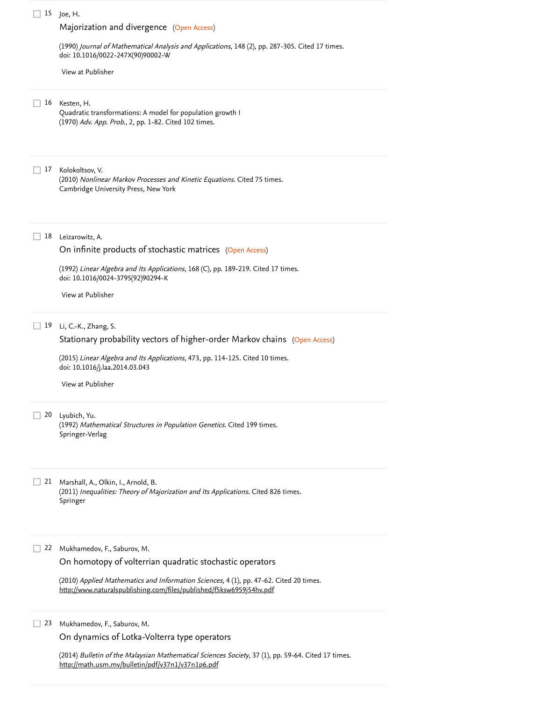## Joe, H. 15 [Majorization and divergence](https://www.scopus.com/record/display.uri?eid=2-s2.0-0025429672&origin=reflist&sort=plf-f&src=s&st1=Ergodicity+of+p-majorizing+quadratic+stochastic+operators&st2=&sid=f518dd7a888cff4e3863a3fbd40d2d87&sot=b&sdt=b&sl=72&s=TITLE-ABS-KEY%28Ergodicity+of+p-majorizing+quadratic+stochastic+operators%29&recordRank=) (Open Access) (1990) *Journal of Mathematical Analysis and Applications*, 148 (2), pp. 287-305. [Cited 17 times](https://www.scopus.com/search/submit/citedby.uri?eid=2-s2.0-85048604816&refeid=2-s2.0-0025429672&src=s&origin=reflist&refstat=core). doi: 10.1016/0022-247X(90)90002-W 16 Kesten, H. Quadratic transformations: A model for population growth I (1970) *Adv. App. Prob.*, 2, pp. 1-82. [Cited 102 times](https://www.scopus.com/search/submit/citedby.uri?eid=2-s2.0-85048604816&refeid=2-s2.0-0001983027&src=s&origin=reflist&refstat=dummy). 17 Kolokoltsov, V. (2010) *Nonlinear Markov Processes and Kinetic Equations*. [Cited 75 times](https://www.scopus.com/search/submit/citedby.uri?eid=2-s2.0-85048604816&refeid=2-s2.0-79551607116&src=s&origin=reflist&refstat=dummy). Cambridge University Press, New York Leizarowitz, A. 18 [On infinite products of stochastic matrices](https://www.scopus.com/record/display.uri?eid=2-s2.0-0039122642&origin=reflist&sort=plf-f&src=s&st1=Ergodicity+of+p-majorizing+quadratic+stochastic+operators&st2=&sid=f518dd7a888cff4e3863a3fbd40d2d87&sot=b&sdt=b&sl=72&s=TITLE-ABS-KEY%28Ergodicity+of+p-majorizing+quadratic+stochastic+operators%29&recordRank=) (Open Access) (1992) *Linear Algebra and Its Applications*, 168 (C), pp. 189-219. [Cited 17 times](https://www.scopus.com/search/submit/citedby.uri?eid=2-s2.0-85048604816&refeid=2-s2.0-0039122642&src=s&origin=reflist&refstat=core). doi: 10.1016/0024-3795(92)90294-K Li, C.-K., Zhang, S. 19 [Stationary probability vectors of higher-order Markov chains](https://www.scopus.com/record/display.uri?eid=2-s2.0-84928708483&origin=reflist&sort=plf-f&src=s&st1=Ergodicity+of+p-majorizing+quadratic+stochastic+operators&st2=&sid=f518dd7a888cff4e3863a3fbd40d2d87&sot=b&sdt=b&sl=72&s=TITLE-ABS-KEY%28Ergodicity+of+p-majorizing+quadratic+stochastic+operators%29&recordRank=) (Open Access) (2015) *Linear Algebra and Its Applications*, 473, pp. 114-125. [Cited 10 times](https://www.scopus.com/search/submit/citedby.uri?eid=2-s2.0-85048604816&refeid=2-s2.0-84928708483&src=s&origin=reflist&refstat=core). doi: 10.1016/j.laa.2014.03.043 Lyubich, Yu. 20 (1992) *Mathematical Structures in Population Genetics*. [Cited 199 times](https://www.scopus.com/search/submit/citedby.uri?eid=2-s2.0-85048604816&refeid=2-s2.0-0003462315&src=s&origin=reflist&refstat=dummy). Springer-Verlag Marshall, A., Olkin, I., Arnold, B. 21 (2011) *Inequalities: Theory of Majorization and Its Applications*. [Cited 826 times](https://www.scopus.com/search/submit/citedby.uri?eid=2-s2.0-85048604816&refeid=2-s2.0-79958218178&src=s&origin=reflist&refstat=dummy).<br>Springer<br>22 Mukhamedov, F., Saburov, M. Springer 22 Mukhamedov, F., Saburov, M. (2010) *Applied Mathematics and Information Sciences*, 4 (1), pp. 47-62. [Cited 20 times](https://www.scopus.com/search/submit/citedby.uri?eid=2-s2.0-85048604816&refeid=2-s2.0-79959697273&src=s&origin=reflist&refstat=core). [View at Publisher](https://www.scopus.com/redirect/linking.uri?targetURL=https%3a%2f%2fdoi.org%2f10.1016%2f0022-247X%2890%2990002-W&locationID=3&categoryID=4&eid=2-s2.0-0025429672&issn=10960813&linkType=ViewAtPublisher&year=1990&origin=reflist&dig=2231b5f0222270b18d6f27fc6eede2ec&recordRank=) [View at Publisher](https://www.scopus.com/redirect/linking.uri?targetURL=https%3a%2f%2fdoi.org%2f10.1016%2f0024-3795%2892%2990294-K&locationID=3&categoryID=4&eid=2-s2.0-0039122642&issn=00243795&linkType=ViewAtPublisher&year=1992&origin=reflist&dig=cbc264e08cca2040c2c74b1ced9eaec4&recordRank=) [View at Publisher](https://www.scopus.com/redirect/linking.uri?targetURL=https%3a%2f%2fdoi.org%2f10.1016%2fj.laa.2014.03.043&locationID=3&categoryID=4&eid=2-s2.0-84928708483&issn=00243795&linkType=ViewAtPublisher&year=2015&origin=reflist&dig=7de5a998d72ba4ca844e0a4670ac6bda&recordRank=) [On homotopy of volterrian quadratic stochastic operators](https://www.scopus.com/record/display.uri?eid=2-s2.0-79959697273&origin=reflist&sort=plf-f&src=s&st1=Ergodicity+of+p-majorizing+quadratic+stochastic+operators&st2=&sid=f518dd7a888cff4e3863a3fbd40d2d87&sot=b&sdt=b&sl=72&s=TITLE-ABS-KEY%28Ergodicity+of+p-majorizing+quadratic+stochastic+operators%29&recordRank=) <http://www.naturalspublishing.com/files/published/f5ksw6959j54hv.pdf>

Mukhamedov, F., Saburov, M. 23

[On dynamics of Lotka-Volterra type operators](https://www.scopus.com/record/display.uri?eid=2-s2.0-84890084739&origin=reflist&sort=plf-f&src=s&st1=Ergodicity+of+p-majorizing+quadratic+stochastic+operators&st2=&sid=f518dd7a888cff4e3863a3fbd40d2d87&sot=b&sdt=b&sl=72&s=TITLE-ABS-KEY%28Ergodicity+of+p-majorizing+quadratic+stochastic+operators%29&recordRank=)

(2014) *Bulletin of the Malaysian Mathematical Sciences Society*, 37 (1), pp. 59-64. [Cited 17 times](https://www.scopus.com/search/submit/citedby.uri?eid=2-s2.0-85048604816&refeid=2-s2.0-84890084739&src=s&origin=reflist&refstat=core). <http://math.usm.my/bulletin/pdf/v37n1/v37n1p6.pdf>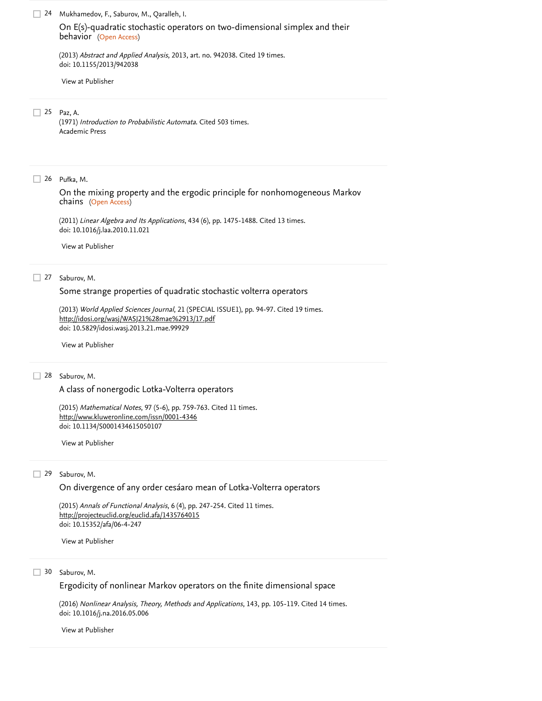Mukhamedov, F., Saburov, M., Qaralleh, I. 24 (Open Access) behavior (2013) *Abstract and Applied Analysis*, 2013, art. no. 942038. [Cited 19 times](https://www.scopus.com/search/submit/citedby.uri?eid=2-s2.0-85048604816&refeid=2-s2.0-84890065665&src=s&origin=reflist&refstat=core). doi: 10.1155/2013/942038 Paz, A. 25 (1971) *Introduction to Probabilistic Automata*. [Cited 503 times](https://www.scopus.com/search/submit/citedby.uri?eid=2-s2.0-85048604816&refeid=2-s2.0-0004221523&src=s&origin=reflist&refstat=dummy). Academic Press Pułka, M. 26 (Open Access) chains (2011) *Linear Algebra and Its Applications*, 434 (6), pp. 1475-1488. [Cited 13 times](https://www.scopus.com/search/submit/citedby.uri?eid=2-s2.0-85048604816&refeid=2-s2.0-79551684143&src=s&origin=reflist&refstat=core). doi: 10.1016/j.laa.2010.11.021 27 Saburov, M. (2013) *World Applied Sciences Journal*, 21 (SPECIAL ISSUE1), pp. 94-97. [Cited 19 times](https://www.scopus.com/search/submit/citedby.uri?eid=2-s2.0-85048604816&refeid=2-s2.0-84879215416&src=s&origin=reflist&refstat=core). doi: 10.5829/idosi.wasj.2013.21.mae.99929 28 Saburov, M. (2015) *Mathematical Notes*, 97 (5-6), pp. 759-763. [Cited 11 times](https://www.scopus.com/search/submit/citedby.uri?eid=2-s2.0-85048604816&refeid=2-s2.0-84933564560&src=s&origin=reflist&refstat=core). doi: 10.1134/S0001434615050107 29 Saburov, M. [On E\(s\)-quadratic stochastic operators on two-dimensional simplex and their](https://www.scopus.com/record/display.uri?eid=2-s2.0-84890065665&origin=reflist&sort=plf-f&src=s&st1=Ergodicity+of+p-majorizing+quadratic+stochastic+operators&st2=&sid=f518dd7a888cff4e3863a3fbd40d2d87&sot=b&sdt=b&sl=72&s=TITLE-ABS-KEY%28Ergodicity+of+p-majorizing+quadratic+stochastic+operators%29&recordRank=) [View at Publisher](https://www.scopus.com/redirect/linking.uri?targetURL=https%3a%2f%2fdoi.org%2f10.1155%2f2013%2f942038&locationID=3&categoryID=4&eid=2-s2.0-84890065665&issn=10853375&linkType=ViewAtPublisher&year=2013&origin=reflist&dig=22db9596bdd37d5f370c5209932b7ff3&recordRank=) [On the mixing property and the ergodic principle for nonhomogeneous Markov](https://www.scopus.com/record/display.uri?eid=2-s2.0-79551684143&origin=reflist&sort=plf-f&src=s&st1=Ergodicity+of+p-majorizing+quadratic+stochastic+operators&st2=&sid=f518dd7a888cff4e3863a3fbd40d2d87&sot=b&sdt=b&sl=72&s=TITLE-ABS-KEY%28Ergodicity+of+p-majorizing+quadratic+stochastic+operators%29&recordRank=) [View at Publisher](https://www.scopus.com/redirect/linking.uri?targetURL=https%3a%2f%2fdoi.org%2f10.1016%2fj.laa.2010.11.021&locationID=3&categoryID=4&eid=2-s2.0-79551684143&issn=00243795&linkType=ViewAtPublisher&year=2011&origin=reflist&dig=dafe265ea69eb2b461899099a86c4f0f&recordRank=) [Some strange properties of quadratic stochastic volterra operators](https://www.scopus.com/record/display.uri?eid=2-s2.0-84879215416&origin=reflist&sort=plf-f&src=s&st1=Ergodicity+of+p-majorizing+quadratic+stochastic+operators&st2=&sid=f518dd7a888cff4e3863a3fbd40d2d87&sot=b&sdt=b&sl=72&s=TITLE-ABS-KEY%28Ergodicity+of+p-majorizing+quadratic+stochastic+operators%29&recordRank=) <http://idosi.org/wasj/WASJ21%28mae%2913/17.pdf> [View at Publisher](https://www.scopus.com/redirect/linking.uri?targetURL=https%3a%2f%2fdoi.org%2f10.5829%2fidosi.wasj.2013.21.mae.99929&locationID=3&categoryID=4&eid=2-s2.0-84879215416&issn=18184952&linkType=ViewAtPublisher&year=2013&origin=reflist&dig=fa5d82ee66e381dc6b5776a1c3cfe98c&recordRank=) [A class of nonergodic Lotka-Volterra operators](https://www.scopus.com/record/display.uri?eid=2-s2.0-84933564560&origin=reflist&sort=plf-f&src=s&st1=Ergodicity+of+p-majorizing+quadratic+stochastic+operators&st2=&sid=f518dd7a888cff4e3863a3fbd40d2d87&sot=b&sdt=b&sl=72&s=TITLE-ABS-KEY%28Ergodicity+of+p-majorizing+quadratic+stochastic+operators%29&recordRank=) <http://www.kluweronline.com/issn/0001-4346> [View at Publisher](https://www.scopus.com/redirect/linking.uri?targetURL=https%3a%2f%2fdoi.org%2f10.1134%2fS0001434615050107&locationID=3&categoryID=4&eid=2-s2.0-84933564560&issn=00014346&linkType=ViewAtPublisher&year=2015&origin=reflist&dig=22ad1fb8360b9f9eabc039b52256e740&recordRank=) [On divergence of any order cesáaro mean of Lotka-Volterra operators](https://www.scopus.com/record/display.uri?eid=2-s2.0-84946398498&origin=reflist&sort=plf-f&src=s&st1=Ergodicity+of+p-majorizing+quadratic+stochastic+operators&st2=&sid=f518dd7a888cff4e3863a3fbd40d2d87&sot=b&sdt=b&sl=72&s=TITLE-ABS-KEY%28Ergodicity+of+p-majorizing+quadratic+stochastic+operators%29&recordRank=)

(2015) Annals of Functional Analysis, 6 (4), pp. 247-254. [Cited 11 times](https://www.scopus.com/search/submit/citedby.uri?eid=2-s2.0-85048604816&refeid=2-s2.0-84946398498&src=s&origin=reflist&refstat=core). doi: 10.15352/afa/06-4-247 <http://projecteuclid.org/euclid.afa/1435764015>

[View at Publisher](https://www.scopus.com/redirect/linking.uri?targetURL=https%3a%2f%2fdoi.org%2f10.15352%2fafa%2f06-4-247&locationID=3&categoryID=4&eid=2-s2.0-84946398498&issn=20088752&linkType=ViewAtPublisher&year=2015&origin=reflist&dig=1495980c94afdccf635477e940dd0d4e&recordRank=)

30 Saburov, M.

[Ergodicity of nonlinear Markov operators on the finite dimensional space](https://www.scopus.com/record/display.uri?eid=2-s2.0-84975297826&origin=reflist&sort=plf-f&src=s&st1=Ergodicity+of+p-majorizing+quadratic+stochastic+operators&st2=&sid=f518dd7a888cff4e3863a3fbd40d2d87&sot=b&sdt=b&sl=72&s=TITLE-ABS-KEY%28Ergodicity+of+p-majorizing+quadratic+stochastic+operators%29&recordRank=)

(2016) *Nonlinear Analysis, Theory, Methods and Applications*, 143, pp. 105-119. [Cited 14 times](https://www.scopus.com/search/submit/citedby.uri?eid=2-s2.0-85048604816&refeid=2-s2.0-84975297826&src=s&origin=reflist&refstat=core). doi: 10.1016/j.na.2016.05.006

[View at Publisher](https://www.scopus.com/redirect/linking.uri?targetURL=https%3a%2f%2fdoi.org%2f10.1016%2fj.na.2016.05.006&locationID=3&categoryID=4&eid=2-s2.0-84975297826&issn=0362546X&linkType=ViewAtPublisher&year=2016&origin=reflist&dig=999d0f09ecb6a246e096a929b88110e0&recordRank=)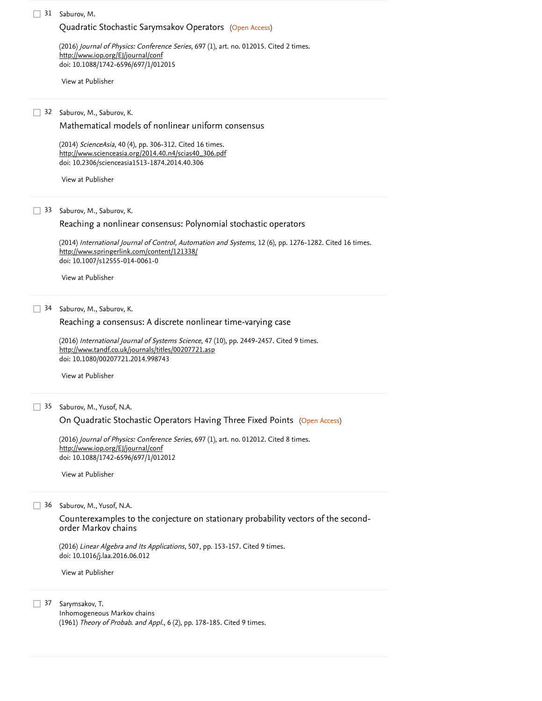#### 31 Saburov, M.

## [Quadratic Stochastic Sarymsakov Operators](https://www.scopus.com/record/display.uri?eid=2-s2.0-84964692668&origin=reflist&sort=plf-f&src=s&st1=Ergodicity+of+p-majorizing+quadratic+stochastic+operators&st2=&sid=f518dd7a888cff4e3863a3fbd40d2d87&sot=b&sdt=b&sl=72&s=TITLE-ABS-KEY%28Ergodicity+of+p-majorizing+quadratic+stochastic+operators%29&recordRank=) (Open Access)

(2016) *Journal of Physics: Conference Series*, 697 (1), art. no. 012015. [Cited 2 times](https://www.scopus.com/search/submit/citedby.uri?eid=2-s2.0-85048604816&refeid=2-s2.0-84964692668&src=s&origin=reflist&refstat=core).<br><u><http://www.iop.org/EJ/journal/conf></u> doi: 10.1088/1742-6596/697/1/012015

[View at Publisher](https://www.scopus.com/redirect/linking.uri?targetURL=https%3a%2f%2fdoi.org%2f10.1088%2f1742-6596%2f697%2f1%2f012015&locationID=3&categoryID=4&eid=2-s2.0-84964692668&issn=17426596&linkType=ViewAtPublisher&year=2016&origin=reflist&dig=569b28259e044708997b63b0ac6487df&recordRank=)

## 32 Saburov, M., Saburov, K.

[Mathematical models of nonlinear uniform consensus](https://www.scopus.com/record/display.uri?eid=2-s2.0-84907935195&origin=reflist&sort=plf-f&src=s&st1=Ergodicity+of+p-majorizing+quadratic+stochastic+operators&st2=&sid=f518dd7a888cff4e3863a3fbd40d2d87&sot=b&sdt=b&sl=72&s=TITLE-ABS-KEY%28Ergodicity+of+p-majorizing+quadratic+stochastic+operators%29&recordRank=)

(2014) ScienceAsia, 40 (4), pp. 306-312. Cited 16 times. doi: 10.2306/scienceasia1513-1874.2014.40.306 [http://www.scienceasia.org/2014.40.n4/scias40\\_306.pdf](http://www.scienceasia.org/2014.40.n4/scias40_306.pdf)

[View at Publisher](https://www.scopus.com/redirect/linking.uri?targetURL=https%3a%2f%2fdoi.org%2f10.2306%2fscienceasia1513-1874.2014.40.306&locationID=3&categoryID=4&eid=2-s2.0-84907935195&issn=15131874&linkType=ViewAtPublisher&year=2014&origin=reflist&dig=1f4d3d655a9c0816e71a7dedf46ec454&recordRank=)

33 Saburov, M., Saburov, K.

## [Reaching a nonlinear consensus: Polynomial stochastic operators](https://www.scopus.com/record/display.uri?eid=2-s2.0-84919452301&origin=reflist&sort=plf-f&src=s&st1=Ergodicity+of+p-majorizing+quadratic+stochastic+operators&st2=&sid=f518dd7a888cff4e3863a3fbd40d2d87&sot=b&sdt=b&sl=72&s=TITLE-ABS-KEY%28Ergodicity+of+p-majorizing+quadratic+stochastic+operators%29&recordRank=)

(2014) *International Journal of Control, Automation and Systems*, 12 (6), pp. 1276-1282. [Cited 16 times](https://www.scopus.com/search/submit/citedby.uri?eid=2-s2.0-85048604816&refeid=2-s2.0-84919452301&src=s&origin=reflist&refstat=core). doi: 10.1007/s12555-014-0061-0 <http://www.springerlink.com/content/121338/>

[View at Publisher](https://www.scopus.com/redirect/linking.uri?targetURL=https%3a%2f%2fdoi.org%2f10.1007%2fs12555-014-0061-0&locationID=3&categoryID=4&eid=2-s2.0-84919452301&issn=20054092&linkType=ViewAtPublisher&year=2014&origin=reflist&dig=b784094c7ee6bc624051a67d883c95c4&recordRank=)

34 Saburov, M., Saburov, K.

#### [Reaching a consensus: A discrete nonlinear time-varying case](https://www.scopus.com/record/display.uri?eid=2-s2.0-84961200197&origin=reflist&sort=plf-f&src=s&st1=Ergodicity+of+p-majorizing+quadratic+stochastic+operators&st2=&sid=f518dd7a888cff4e3863a3fbd40d2d87&sot=b&sdt=b&sl=72&s=TITLE-ABS-KEY%28Ergodicity+of+p-majorizing+quadratic+stochastic+operators%29&recordRank=)

(2016) International Journal of Systems Science, 47 (10), pp. 2449-2457. [Cited 9 times](https://www.scopus.com/search/submit/citedby.uri?eid=2-s2.0-85048604816&refeid=2-s2.0-84961200197&src=s&origin=reflist&refstat=core). doi: 10.1080/00207721.2014.998743 <http://www.tandf.co.uk/journals/titles/00207721.asp>

[View at Publisher](https://www.scopus.com/redirect/linking.uri?targetURL=https%3a%2f%2fdoi.org%2f10.1080%2f00207721.2014.998743&locationID=3&categoryID=4&eid=2-s2.0-84961200197&issn=14645319&linkType=ViewAtPublisher&year=2016&origin=reflist&dig=044bc0dba07ed3236573046fe6d09fb3&recordRank=)

### 35 Saburov, M., Yusof, N.A.

[On Quadratic Stochastic Operators Having Three Fixed Points](https://www.scopus.com/record/display.uri?eid=2-s2.0-84964674954&origin=reflist&sort=plf-f&src=s&st1=Ergodicity+of+p-majorizing+quadratic+stochastic+operators&st2=&sid=f518dd7a888cff4e3863a3fbd40d2d87&sot=b&sdt=b&sl=72&s=TITLE-ABS-KEY%28Ergodicity+of+p-majorizing+quadratic+stochastic+operators%29&recordRank=) (Open Access)

(2016) *Journal of Physics: Conference Series*, 697 (1), art. no. 012012. [Cited 8 times](https://www.scopus.com/search/submit/citedby.uri?eid=2-s2.0-85048604816&refeid=2-s2.0-84964674954&src=s&origin=reflist&refstat=core).<br><u><http://www.iop.org/EJ/journal/conf></u> doi: 10.1088/1742-6596/697/1/012012

[View at Publisher](https://www.scopus.com/redirect/linking.uri?targetURL=https%3a%2f%2fdoi.org%2f10.1088%2f1742-6596%2f697%2f1%2f012012&locationID=3&categoryID=4&eid=2-s2.0-84964674954&issn=17426596&linkType=ViewAtPublisher&year=2016&origin=reflist&dig=9cae27e73ec76f0482c91671d3a164ee&recordRank=)

36 Saburov, M., Yusof, N.A.

[Counterexamples to the conjecture on stationary probability vectors of the second](https://www.scopus.com/record/display.uri?eid=2-s2.0-84973898770&origin=reflist&sort=plf-f&src=s&st1=Ergodicity+of+p-majorizing+quadratic+stochastic+operators&st2=&sid=f518dd7a888cff4e3863a3fbd40d2d87&sot=b&sdt=b&sl=72&s=TITLE-ABS-KEY%28Ergodicity+of+p-majorizing+quadratic+stochastic+operators%29&recordRank=)order Markov chains

(2016) *Linear Algebra and Its Applications*, 507, pp. 153-157. [Cited 9 times](https://www.scopus.com/search/submit/citedby.uri?eid=2-s2.0-85048604816&refeid=2-s2.0-84973898770&src=s&origin=reflist&refstat=core). doi: 10.1016/j.laa.2016.06.012

[View at Publisher](https://www.scopus.com/redirect/linking.uri?targetURL=https%3a%2f%2fdoi.org%2f10.1016%2fj.laa.2016.06.012&locationID=3&categoryID=4&eid=2-s2.0-84973898770&issn=00243795&linkType=ViewAtPublisher&year=2016&origin=reflist&dig=858bce24c7feb754884910fc013fef53&recordRank=)

37 Sarymsakov, T.

Inhomogeneous Markov chains (1961) *Theory of Probab. and Appl.*, 6 (2), pp. 178-185. [Cited 9 times](https://www.scopus.com/search/submit/citedby.uri?eid=2-s2.0-85048604816&refeid=2-s2.0-24944440611&src=s&origin=reflist&refstat=dummy).